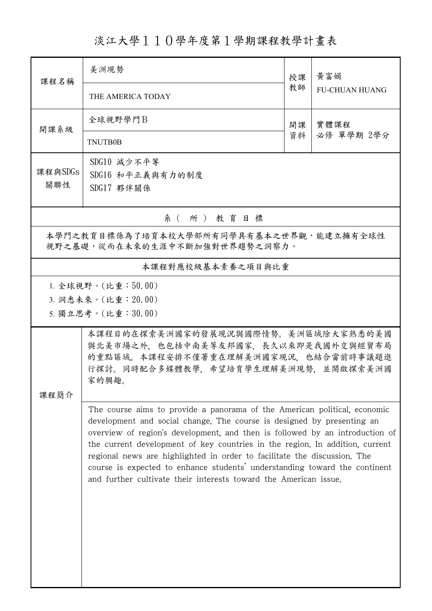## 淡江大學110學年度第1學期課程教學計畫表

| 課程名稱                                                                     | 美洲現勢                                                                                                                                                                                                                                                                                                                                                                                                                                                                                                                                              | 授課         | 黃富娟<br><b>FU-CHUAN HUANG</b> |  |  |
|--------------------------------------------------------------------------|---------------------------------------------------------------------------------------------------------------------------------------------------------------------------------------------------------------------------------------------------------------------------------------------------------------------------------------------------------------------------------------------------------------------------------------------------------------------------------------------------------------------------------------------------|------------|------------------------------|--|--|
|                                                                          | THE AMERICA TODAY                                                                                                                                                                                                                                                                                                                                                                                                                                                                                                                                 | 教師         |                              |  |  |
| 開課系級                                                                     | 全球視野學門B                                                                                                                                                                                                                                                                                                                                                                                                                                                                                                                                           | 實體課程<br>開課 |                              |  |  |
|                                                                          | <b>TNUTB0B</b>                                                                                                                                                                                                                                                                                                                                                                                                                                                                                                                                    | 資料         | 必修 單學期 2學分                   |  |  |
| 課程與SDGs<br>關聯性                                                           | SDG10 減少不平等<br>SDG16 和平正義與有力的制度                                                                                                                                                                                                                                                                                                                                                                                                                                                                                                                   |            |                              |  |  |
|                                                                          | SDG17 夥伴關係                                                                                                                                                                                                                                                                                                                                                                                                                                                                                                                                        |            |                              |  |  |
| 系(所)教育目標                                                                 |                                                                                                                                                                                                                                                                                                                                                                                                                                                                                                                                                   |            |                              |  |  |
| 本學門之教育目標係為了培育本校大學部所有同學具有基本之世界觀,能建立擁有全球性<br>視野之基礎,從而在未來的生涯中不斷加強對世界趨勢之洞察力。 |                                                                                                                                                                                                                                                                                                                                                                                                                                                                                                                                                   |            |                              |  |  |
| 本課程對應校級基本素養之項目與比重                                                        |                                                                                                                                                                                                                                                                                                                                                                                                                                                                                                                                                   |            |                              |  |  |
| 1. 全球視野。(比重:50.00)<br>3. 洞悉未來。(比重: 20.00)<br>5. 獨立思考。(比重:30.00)          |                                                                                                                                                                                                                                                                                                                                                                                                                                                                                                                                                   |            |                              |  |  |
| 课程简介                                                                     | 本課程目的在探索美洲國家的發展現況與國際情勢。美洲區域除大家熟悉的美國<br>與北美市場之外,也包括中南美等友邦國家,長久以來即是我國外交與經貿布局<br>的重點區域。本課程安排不僅著重在理解美洲國家現況,也結合當前時事議題進<br>行探討。同時配合多媒體教學、希望培育學生理解美洲現勢、並開啟探索美洲國<br>家的興趣。                                                                                                                                                                                                                                                                                                                                                                                 |            |                              |  |  |
|                                                                          | The course aims to provide a panorama of the American political, economic<br>development and social change. The course is designed by presenting an<br>overview of region's development, and then is followed by an introduction of<br>the current development of key countries in the region. In addition, current<br>regional news are highlighted in order to facilitate the discussion. The<br>course is expected to enhance students' understanding toward the continent<br>and further cultivate their interests toward the American issue. |            |                              |  |  |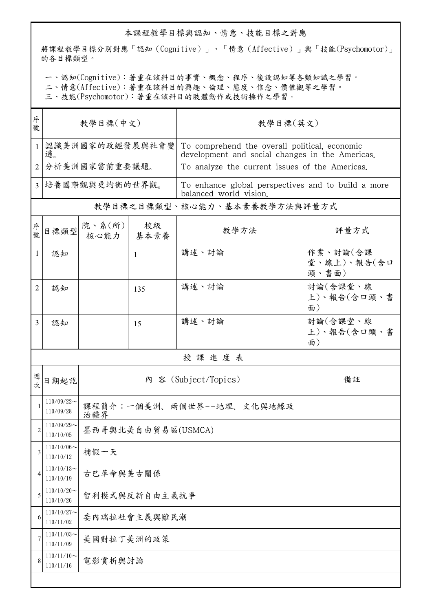## 本課程教學目標與認知、情意、技能目標之對應

將課程教學目標分別對應「認知(Cognitive)」、「情意(Affective)」與「技能(Psychomotor)」 的各目標類型。

一、認知(Cognitive):著重在該科目的事實、概念、程序、後設認知等各類知識之學習。

二、情意(Affective):著重在該科目的興趣、倫理、態度、信念、價值觀等之學習。

三、技能(Psychomotor):著重在該科目的肢體動作或技術操作之學習。

| 序<br>號         | 教學目標(中文)                   |                                  |              | 教學目標(英文)                                                                                         |                                  |
|----------------|----------------------------|----------------------------------|--------------|--------------------------------------------------------------------------------------------------|----------------------------------|
| $\mathbf{1}$   | 認識美洲國家的政經發展與社會變<br>遷       |                                  |              | To comprehend the overall political, economic<br>development and social changes in the Americas. |                                  |
| $\overline{2}$ | 分析美洲國家當前重要議題。              |                                  |              | To analyze the current issues of the Americas.                                                   |                                  |
| 3 <sup>1</sup> | 培養國際觀與更均衡的世界觀。             |                                  |              | To enhance global perspectives and to build a more<br>balanced world vision.                     |                                  |
|                |                            |                                  |              | 教學目標之目標類型、核心能力、基本素養教學方法與評量方式                                                                     |                                  |
| 序號             | 目標類型                       | 院、系 $(\text{m})$<br>核心能力         | 校級<br>基本素養   | 教學方法                                                                                             | 評量方式                             |
| 1              | 認知                         |                                  | $\mathbf{1}$ | 講述、討論                                                                                            | 作業、討論(含課<br>堂、線上)、報告(含口<br>頭、書面) |
| 2              | 認知                         |                                  | 135          | 講述、討論                                                                                            | 討論(含課堂、線<br>上)、報告(含口頭、書<br>面)    |
| 3              | 認知                         |                                  | 15           | 講述、討論                                                                                            | 討論(含課堂、線<br>上)、報告(含口頭、書<br>面)    |
|                | 授課進度表                      |                                  |              |                                                                                                  |                                  |
| 週次             | 日期起訖                       | 內 容 (Subject/Topics)<br>備註       |              |                                                                                                  |                                  |
| $\mathbf{1}$   | $110/09/22$ ~<br>110/09/28 | 課程簡介:一個美洲、兩個世界--地理、文化與地緣政<br>治疆界 |              |                                                                                                  |                                  |
| $\mathfrak{D}$ | $110/09/29$ ~<br>110/10/05 | 墨西哥與北美自由貿易區(USMCA)               |              |                                                                                                  |                                  |
| 3              | $110/10/06$ ~<br>110/10/12 | 補假一天                             |              |                                                                                                  |                                  |
| 4              | $110/10/13$ ~<br>110/10/19 | 古巴革命與美古關係                        |              |                                                                                                  |                                  |
| 5              | $110/10/20$ ~<br>110/10/26 | 智利模式與反新自由主義抗爭                    |              |                                                                                                  |                                  |
| 6              | $110/10/27$ ~<br>110/11/02 | 委內瑞拉社會主義與難民潮                     |              |                                                                                                  |                                  |
| 7              | $110/11/03$ ~<br>110/11/09 | 美國對拉丁美洲的政策                       |              |                                                                                                  |                                  |
| 8              | $110/11/10$ ~<br>110/11/16 | 電影賞析與討論                          |              |                                                                                                  |                                  |
|                |                            |                                  |              |                                                                                                  |                                  |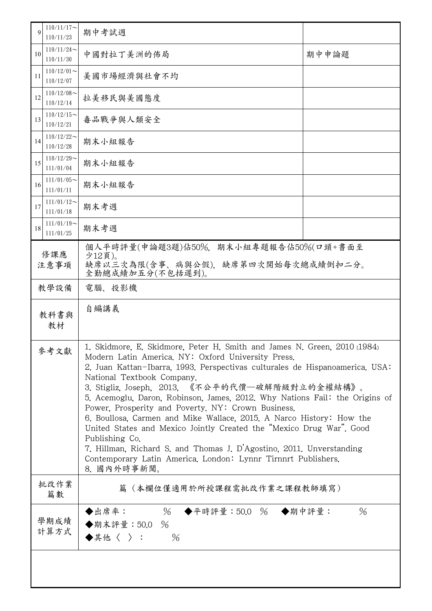| $\mathbf Q$    | $110/11/17$ ~<br>110/11/23 | 期中考試週                                                                                                                                                                                                                                                                                                                                                                                                                                                                                                                                                                                                                                                                                                                                                          |       |  |  |
|----------------|----------------------------|----------------------------------------------------------------------------------------------------------------------------------------------------------------------------------------------------------------------------------------------------------------------------------------------------------------------------------------------------------------------------------------------------------------------------------------------------------------------------------------------------------------------------------------------------------------------------------------------------------------------------------------------------------------------------------------------------------------------------------------------------------------|-------|--|--|
| 10             | $110/11/24$ ~<br>110/11/30 | 中國對拉丁美洲的佈局                                                                                                                                                                                                                                                                                                                                                                                                                                                                                                                                                                                                                                                                                                                                                     | 期中申論題 |  |  |
| 11             | $110/12/01$ ~<br>110/12/07 | 美國市場經濟與社會不均                                                                                                                                                                                                                                                                                                                                                                                                                                                                                                                                                                                                                                                                                                                                                    |       |  |  |
| 12             | $110/12/08$ ~<br>110/12/14 | 拉美移民與美國態度                                                                                                                                                                                                                                                                                                                                                                                                                                                                                                                                                                                                                                                                                                                                                      |       |  |  |
| 13             | $110/12/15$ ~<br>110/12/21 | 毒品戰爭與人類安全                                                                                                                                                                                                                                                                                                                                                                                                                                                                                                                                                                                                                                                                                                                                                      |       |  |  |
| 14             | $110/12/22$ ~<br>110/12/28 | 期末小組報告                                                                                                                                                                                                                                                                                                                                                                                                                                                                                                                                                                                                                                                                                                                                                         |       |  |  |
| 15             | $110/12/29$ ~<br>111/01/04 | 期末小組報告                                                                                                                                                                                                                                                                                                                                                                                                                                                                                                                                                                                                                                                                                                                                                         |       |  |  |
| 16             | $111/01/05$ ~<br>111/01/11 | 期末小組報告                                                                                                                                                                                                                                                                                                                                                                                                                                                                                                                                                                                                                                                                                                                                                         |       |  |  |
| 17             | $111/01/12$ ~<br>111/01/18 | 期末考週                                                                                                                                                                                                                                                                                                                                                                                                                                                                                                                                                                                                                                                                                                                                                           |       |  |  |
| 18             | $111/01/19$ ~<br>111/01/25 | 期末考週                                                                                                                                                                                                                                                                                                                                                                                                                                                                                                                                                                                                                                                                                                                                                           |       |  |  |
| 修課應<br>注意事項    |                            | 期末小組專題報告佔50%(口頭+書面至<br>個人平時評量(申論題3題)佔50%.<br>少12頁)。<br>缺席以三次為限(含事、病與公假),<br>缺席第四次開始每次總成績倒扣二分。<br>全勤總成績加五分(不包括遲到)。                                                                                                                                                                                                                                                                                                                                                                                                                                                                                                                                                                                                                                              |       |  |  |
| 教學設備<br>電腦、投影機 |                            |                                                                                                                                                                                                                                                                                                                                                                                                                                                                                                                                                                                                                                                                                                                                                                |       |  |  |
| 教科書與<br>教材     |                            | 自編講義                                                                                                                                                                                                                                                                                                                                                                                                                                                                                                                                                                                                                                                                                                                                                           |       |  |  |
| 參考文獻           |                            | 1. Skidmore, E. Skidmore, Peter H. Smith and James N. Green, 2010 (1984)<br>Modern Latin America. NY: Oxford University Press.<br>2. Juan Kattan-Ibarra, 1993. Perspectivas culturales de Hispanoamerica. USA:<br>National Textbook Company.<br>3. Stigliz, Joseph, 2013, 《不公平的代價—破解階級對立的金權結構》。<br>5. Acemoglu, Daron, Robinson, James, 2012. Why Nations Fail: the Origins of<br>Power, Prosperity and Poverty, NY: Crown Business.<br>6. Boullosa, Carmen and Mike Wallace, 2015. A Narco History: How the<br>United States and Mexico Jointly Created the "Mexico Drug War". Good<br>Publishing Co.<br>7. Hillman, Richard S. and Thomas J. D'Agostino, 2011. Unverstanding<br>Contemporary Latin America, London: Lynnr Tirnnrt Publishers.<br>8. 國內外時事新聞。 |       |  |  |
|                | 批改作業<br>篇數                 | 篇(本欄位僅適用於所授課程需批改作業之課程教師填寫)                                                                                                                                                                                                                                                                                                                                                                                                                                                                                                                                                                                                                                                                                                                                     |       |  |  |
| 學期成績<br>計算方式   |                            | $\%$<br>◆平時評量:50.0 % ◆期中評量:<br>◆出席率:<br>◆期末評量:50.0<br>$\%$<br>◆其他〈 〉:<br>$\%$                                                                                                                                                                                                                                                                                                                                                                                                                                                                                                                                                                                                                                                                                  | $\%$  |  |  |
|                |                            |                                                                                                                                                                                                                                                                                                                                                                                                                                                                                                                                                                                                                                                                                                                                                                |       |  |  |